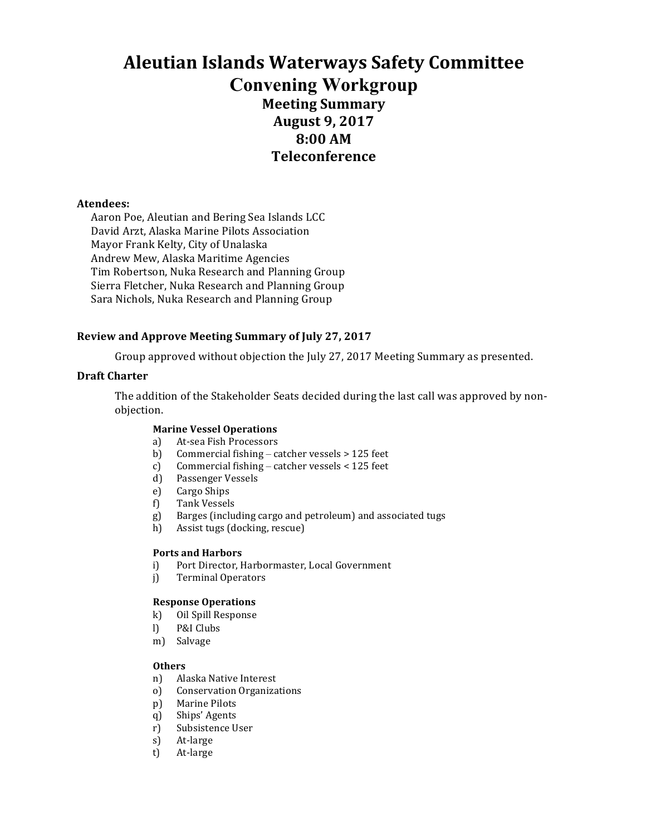# **Aleutian Islands Waterways Safety Committee Convening Workgroup Meeting Summary August 9, 2017 8:00 AM Teleconference**

### **Atendees:**

Aaron Poe, Aleutian and Bering Sea Islands LCC David Arzt, Alaska Marine Pilots Association Mayor Frank Kelty, City of Unalaska Andrew Mew, Alaska Maritime Agencies Tim Robertson, Nuka Research and Planning Group Sierra Fletcher, Nuka Research and Planning Group Sara Nichols, Nuka Research and Planning Group

## **Review and Approve Meeting Summary of July 27, 2017**

Group approved without objection the July 27, 2017 Meeting Summary as presented.

#### **Draft Charter**

The addition of the Stakeholder Seats decided during the last call was approved by nonobjection. 

#### **Marine Vessel Operations**

- a) At-sea Fish Processors
- b) Commercial fishing catcher vessels  $> 125$  feet
- c) Commercial fishing catcher vessels  $\lt$  125 feet
- d) Passenger Vessels
- e) Cargo Ships
- f) Tank Vessels
- g) Barges (including cargo and petroleum) and associated tugs
- h) Assist tugs (docking, rescue)

#### **Ports and Harbors**

- i) Port Director, Harbormaster, Local Government
- j) Terminal Operators

#### **Response Operations**

- k) Oil Spill Response
- l) P&I Clubs
- m) Salvage

#### **Others**

- n) Alaska Native Interest
- o) Conservation Organizations
- p) Marine Pilots
- q) Ships' Agents
- r) Subsistence User
- s) At-large
- t) At-large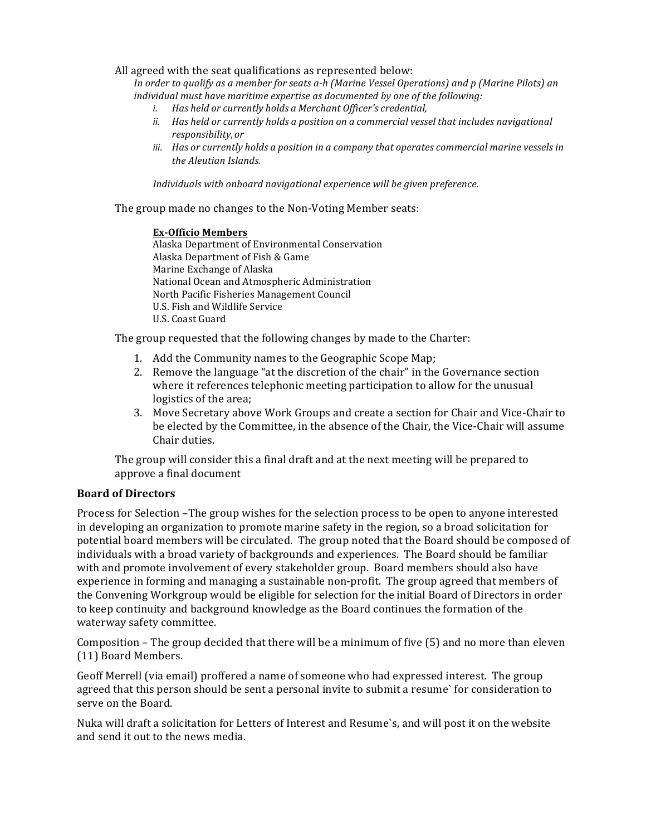All agreed with the seat qualifications as represented below:

*In* order to qualify as a member for seats a-h (Marine Vessel Operations) and p (Marine Pilots) an *individual must have maritime expertise as documented by one of the following:* 

- *i. Has held or currently holds a Merchant Officer's credential,*
- *ii. Has held or currently holds a position on a commercial vessel that includes navigational responsibility, or*
- *iii.* Has or currently holds a position in a company that operates commercial marine vessels in *the Aleutian Islands.*

Individuals with onboard navigational experience will be given preference.

The group made no changes to the Non-Voting Member seats:

#### **Ex-Officio Members**

Alaska Department of Environmental Conservation Alaska Department of Fish & Game Marine Exchange of Alaska National Ocean and Atmospheric Administration North Pacific Fisheries Management Council U.S. Fish and Wildlife Service U.S. Coast Guard

The group requested that the following changes by made to the Charter:

- 1. Add the Community names to the Geographic Scope Map;
- 2. Remove the language "at the discretion of the chair" in the Governance section where it references telephonic meeting participation to allow for the unusual logistics of the area;
- 3. Move Secretary above Work Groups and create a section for Chair and Vice-Chair to be elected by the Committee, in the absence of the Chair, the Vice-Chair will assume Chair duties.

The group will consider this a final draft and at the next meeting will be prepared to approve a final document

## **Board of Directors**

Process for Selection –The group wishes for the selection process to be open to anyone interested in developing an organization to promote marine safety in the region, so a broad solicitation for potential board members will be circulated. The group noted that the Board should be composed of individuals with a broad variety of backgrounds and experiences. The Board should be familiar with and promote involvement of every stakeholder group. Board members should also have experience in forming and managing a sustainable non-profit. The group agreed that members of the Convening Workgroup would be eligible for selection for the initial Board of Directors in order to keep continuity and background knowledge as the Board continues the formation of the waterway safety committee.

Composition – The group decided that there will be a minimum of five  $(5)$  and no more than eleven (11) Board Members.

Geoff Merrell (via email) proffered a name of someone who had expressed interest. The group agreed that this person should be sent a personal invite to submit a resume' for consideration to serve on the Board.

Nuka will draft a solicitation for Letters of Interest and Resume's, and will post it on the website and send it out to the news media.